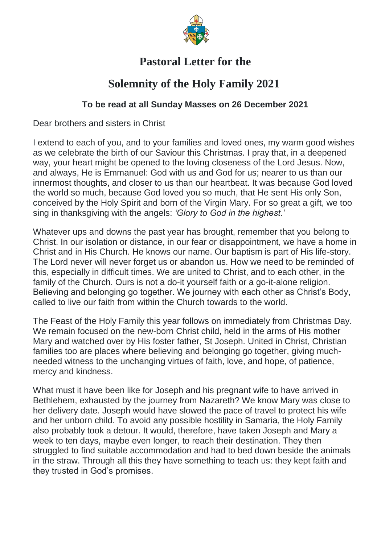

## **Pastoral Letter for the**

## **Solemnity of the Holy Family 2021**

## **To be read at all Sunday Masses on 26 December 2021**

Dear brothers and sisters in Christ

I extend to each of you, and to your families and loved ones, my warm good wishes as we celebrate the birth of our Saviour this Christmas. I pray that, in a deepened way, your heart might be opened to the loving closeness of the Lord Jesus. Now, and always, He is Emmanuel: God with us and God for us; nearer to us than our innermost thoughts, and closer to us than our heartbeat. It was because God loved the world so much, because God loved you so much, that He sent His only Son, conceived by the Holy Spirit and born of the Virgin Mary. For so great a gift, we too sing in thanksgiving with the angels: *'Glory to God in the highest.'*

Whatever ups and downs the past year has brought, remember that you belong to Christ. In our isolation or distance, in our fear or disappointment, we have a home in Christ and in His Church. He knows our name. Our baptism is part of His life-story. The Lord never will never forget us or abandon us. How we need to be reminded of this, especially in difficult times. We are united to Christ, and to each other, in the family of the Church. Ours is not a do-it yourself faith or a go-it-alone religion. Believing and belonging go together. We journey with each other as Christ's Body, called to live our faith from within the Church towards to the world.

The Feast of the Holy Family this year follows on immediately from Christmas Day. We remain focused on the new-born Christ child, held in the arms of His mother Mary and watched over by His foster father, St Joseph. United in Christ, Christian families too are places where believing and belonging go together, giving muchneeded witness to the unchanging virtues of faith, love, and hope, of patience, mercy and kindness.

What must it have been like for Joseph and his pregnant wife to have arrived in Bethlehem, exhausted by the journey from Nazareth? We know Mary was close to her delivery date. Joseph would have slowed the pace of travel to protect his wife and her unborn child. To avoid any possible hostility in Samaria, the Holy Family also probably took a detour. It would, therefore, have taken Joseph and Mary a week to ten days, maybe even longer, to reach their destination. They then struggled to find suitable accommodation and had to bed down beside the animals in the straw. Through all this they have something to teach us: they kept faith and they trusted in God's promises.